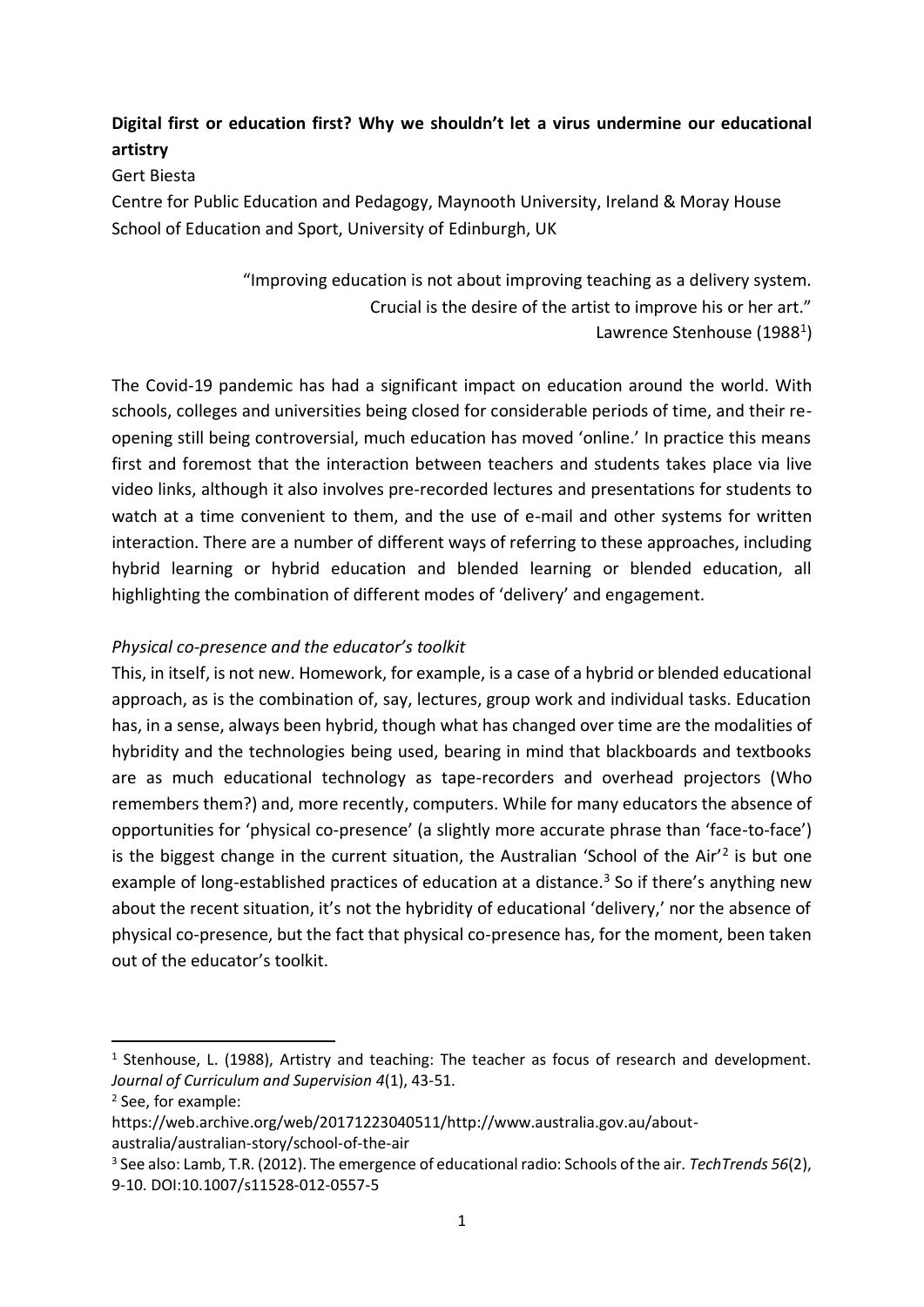# **Digital first or education first? Why we shouldn't let a virus undermine our educational artistry**

### Gert Biesta

Centre for Public Education and Pedagogy, Maynooth University, Ireland & Moray House School of Education and Sport, University of Edinburgh, UK

> "Improving education is not about improving teaching as a delivery system. Crucial is the desire of the artist to improve his or her art." Lawrence Stenhouse (1988<sup>1</sup>)

The Covid-19 pandemic has had a significant impact on education around the world. With schools, colleges and universities being closed for considerable periods of time, and their reopening still being controversial, much education has moved 'online.' In practice this means first and foremost that the interaction between teachers and students takes place via live video links, although it also involves pre-recorded lectures and presentations for students to watch at a time convenient to them, and the use of e-mail and other systems for written interaction. There are a number of different ways of referring to these approaches, including hybrid learning or hybrid education and blended learning or blended education, all highlighting the combination of different modes of 'delivery' and engagement.

# *Physical co-presence and the educator's toolkit*

This, in itself, is not new. Homework, for example, is a case of a hybrid or blended educational approach, as is the combination of, say, lectures, group work and individual tasks. Education has, in a sense, always been hybrid, though what has changed over time are the modalities of hybridity and the technologies being used, bearing in mind that blackboards and textbooks are as much educational technology as tape-recorders and overhead projectors (Who remembers them?) and, more recently, computers. While for many educators the absence of opportunities for 'physical co-presence' (a slightly more accurate phrase than 'face-to-face') is the biggest change in the current situation, the Australian 'School of the Air'<sup>2</sup> is but one example of long-established practices of education at a distance.<sup>3</sup> So if there's anything new about the recent situation, it's not the hybridity of educational 'delivery,' nor the absence of physical co-presence, but the fact that physical co-presence has, for the moment, been taken out of the educator's toolkit.

<sup>&</sup>lt;sup>1</sup> Stenhouse, L. (1988), Artistry and teaching: The teacher as focus of research and development. *Journal of Curriculum and Supervision 4*(1), 43-51.

<sup>2</sup> See, for example:

https://web.archive.org/web/20171223040511/http://www.australia.gov.au/aboutaustralia/australian-story/school-of-the-air

<sup>3</sup> See also: Lamb, T.R. (2012). The emergence of educational radio: Schools of the air. *TechTrends 56*(2), 9-10. DOI:10.1007/s11528-012-0557-5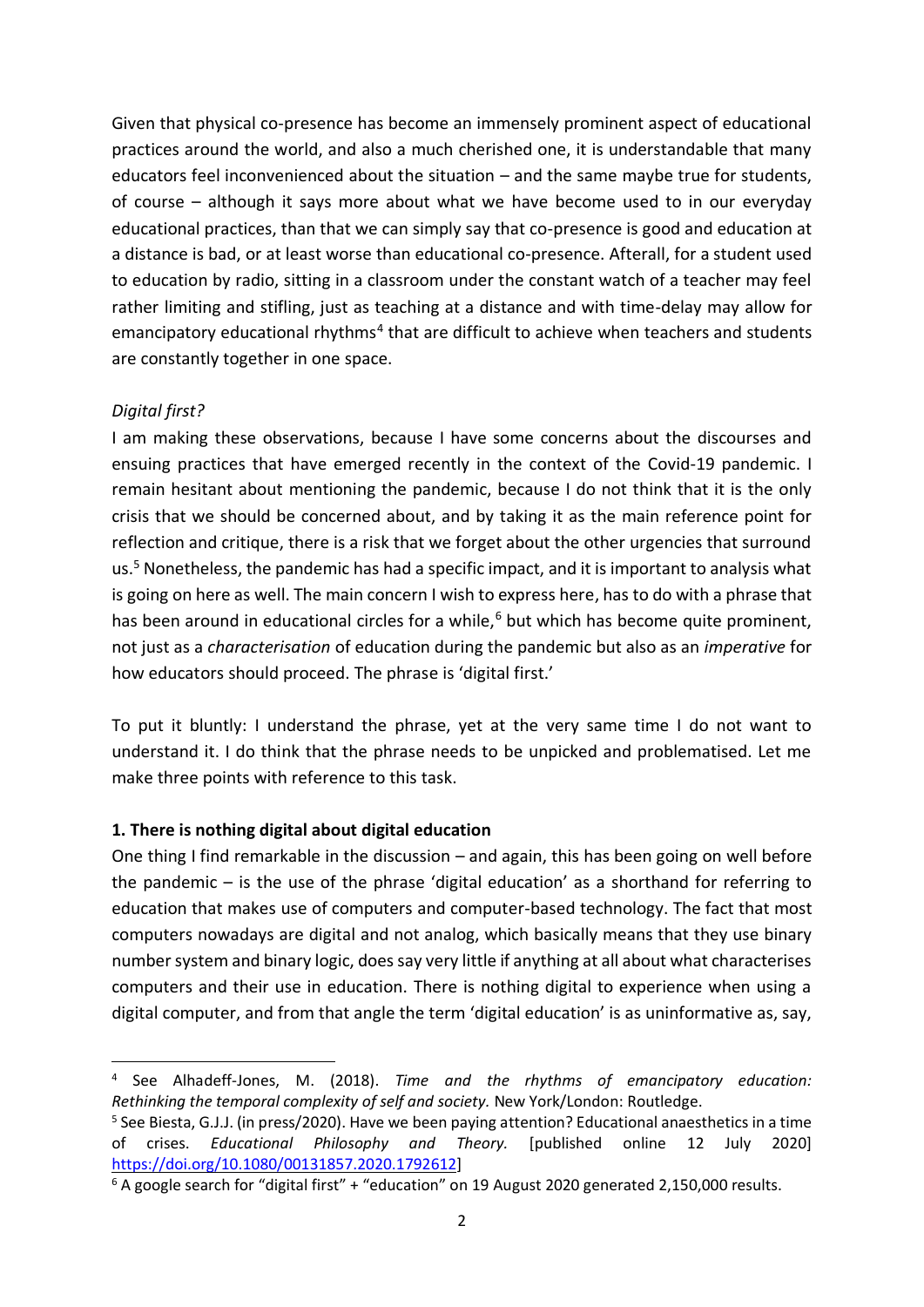Given that physical co-presence has become an immensely prominent aspect of educational practices around the world, and also a much cherished one, it is understandable that many educators feel inconvenienced about the situation – and the same maybe true for students, of course – although it says more about what we have become used to in our everyday educational practices, than that we can simply say that co-presence is good and education at a distance is bad, or at least worse than educational co-presence. Afterall, for a student used to education by radio, sitting in a classroom under the constant watch of a teacher may feel rather limiting and stifling, just as teaching at a distance and with time-delay may allow for emancipatory educational rhythms<sup>4</sup> that are difficult to achieve when teachers and students are constantly together in one space.

# *Digital first?*

I am making these observations, because I have some concerns about the discourses and ensuing practices that have emerged recently in the context of the Covid-19 pandemic. I remain hesitant about mentioning the pandemic, because I do not think that it is the only crisis that we should be concerned about, and by taking it as the main reference point for reflection and critique, there is a risk that we forget about the other urgencies that surround us.<sup>5</sup> Nonetheless, the pandemic has had a specific impact, and it is important to analysis what is going on here as well. The main concern I wish to express here, has to do with a phrase that has been around in educational circles for a while, $6$  but which has become quite prominent, not just as a *characterisation* of education during the pandemic but also as an *imperative* for how educators should proceed. The phrase is 'digital first.'

To put it bluntly: I understand the phrase, yet at the very same time I do not want to understand it. I do think that the phrase needs to be unpicked and problematised. Let me make three points with reference to this task.

### **1. There is nothing digital about digital education**

One thing I find remarkable in the discussion – and again, this has been going on well before the pandemic – is the use of the phrase 'digital education' as a shorthand for referring to education that makes use of computers and computer-based technology. The fact that most computers nowadays are digital and not analog, which basically means that they use binary number system and binary logic, does say very little if anything at all about what characterises computers and their use in education. There is nothing digital to experience when using a digital computer, and from that angle the term 'digital education' is as uninformative as, say,

<sup>4</sup> See Alhadeff-Jones, M. (2018). *Time and the rhythms of emancipatory education: Rethinking the temporal complexity of self and society.* New York/London: Routledge.

<sup>5</sup> See Biesta, G.J.J. (in press/2020). Have we been paying attention? Educational anaesthetics in a time of crises. *Educational Philosophy and Theory.* [published online 12 July 2020] [https://doi.org/10.1080/00131857.2020.1792612\]](https://doi.org/10.1080/00131857.2020.1792612)

<sup>&</sup>lt;sup>6</sup> A google search for "digital first" + "education" on 19 August 2020 generated 2,150,000 results.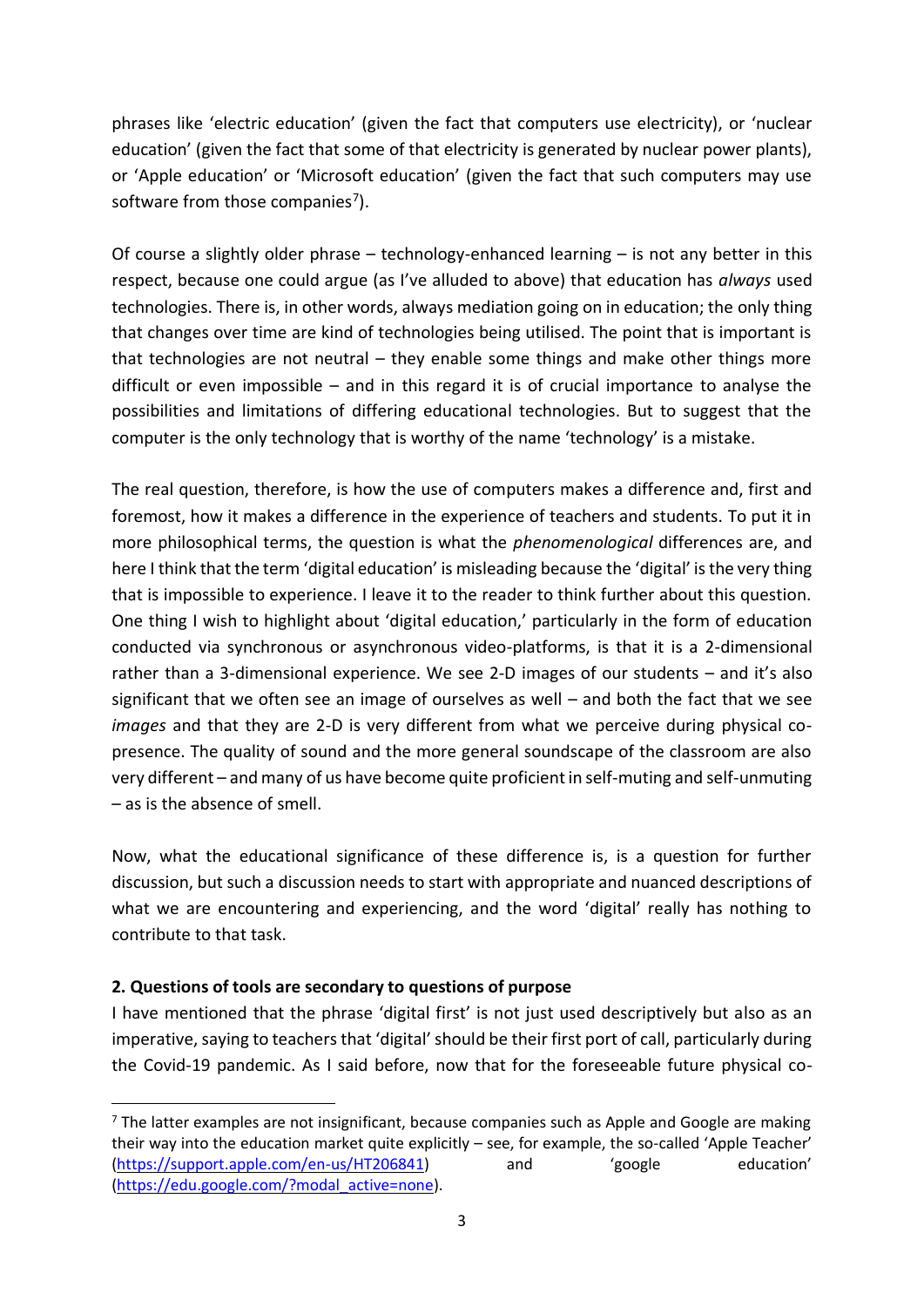phrases like 'electric education' (given the fact that computers use electricity), or 'nuclear education' (given the fact that some of that electricity is generated by nuclear power plants), or 'Apple education' or 'Microsoft education' (given the fact that such computers may use software from those companies<sup>7</sup>).

Of course a slightly older phrase – technology-enhanced learning – is not any better in this respect, because one could argue (as I've alluded to above) that education has *always* used technologies. There is, in other words, always mediation going on in education; the only thing that changes over time are kind of technologies being utilised. The point that is important is that technologies are not neutral – they enable some things and make other things more difficult or even impossible – and in this regard it is of crucial importance to analyse the possibilities and limitations of differing educational technologies. But to suggest that the computer is the only technology that is worthy of the name 'technology' is a mistake.

The real question, therefore, is how the use of computers makes a difference and, first and foremost, how it makes a difference in the experience of teachers and students. To put it in more philosophical terms, the question is what the *phenomenological* differences are, and here I think that the term 'digital education' is misleading because the 'digital' is the very thing that is impossible to experience. I leave it to the reader to think further about this question. One thing I wish to highlight about 'digital education,' particularly in the form of education conducted via synchronous or asynchronous video-platforms, is that it is a 2-dimensional rather than a 3-dimensional experience. We see 2-D images of our students – and it's also significant that we often see an image of ourselves as well – and both the fact that we see *images* and that they are 2-D is very different from what we perceive during physical copresence. The quality of sound and the more general soundscape of the classroom are also very different – and many of us have become quite proficient in self-muting and self-unmuting – as is the absence of smell.

Now, what the educational significance of these difference is, is a question for further discussion, but such a discussion needs to start with appropriate and nuanced descriptions of what we are encountering and experiencing, and the word 'digital' really has nothing to contribute to that task.

### **2. Questions of tools are secondary to questions of purpose**

I have mentioned that the phrase 'digital first' is not just used descriptively but also as an imperative, saying to teachers that 'digital' should be their first port of call, particularly during the Covid-19 pandemic. As I said before, now that for the foreseeable future physical co-

 $<sup>7</sup>$  The latter examples are not insignificant, because companies such as Apple and Google are making</sup> their way into the education market quite explicitly – see, for example, the so-called 'Apple Teacher' [\(https://support.apple.com/en-us/HT206841](https://support.apple.com/en-us/HT206841)) and 'google education' [\(https://edu.google.com/?modal\\_active=none\)](https://edu.google.com/?modal_active=none).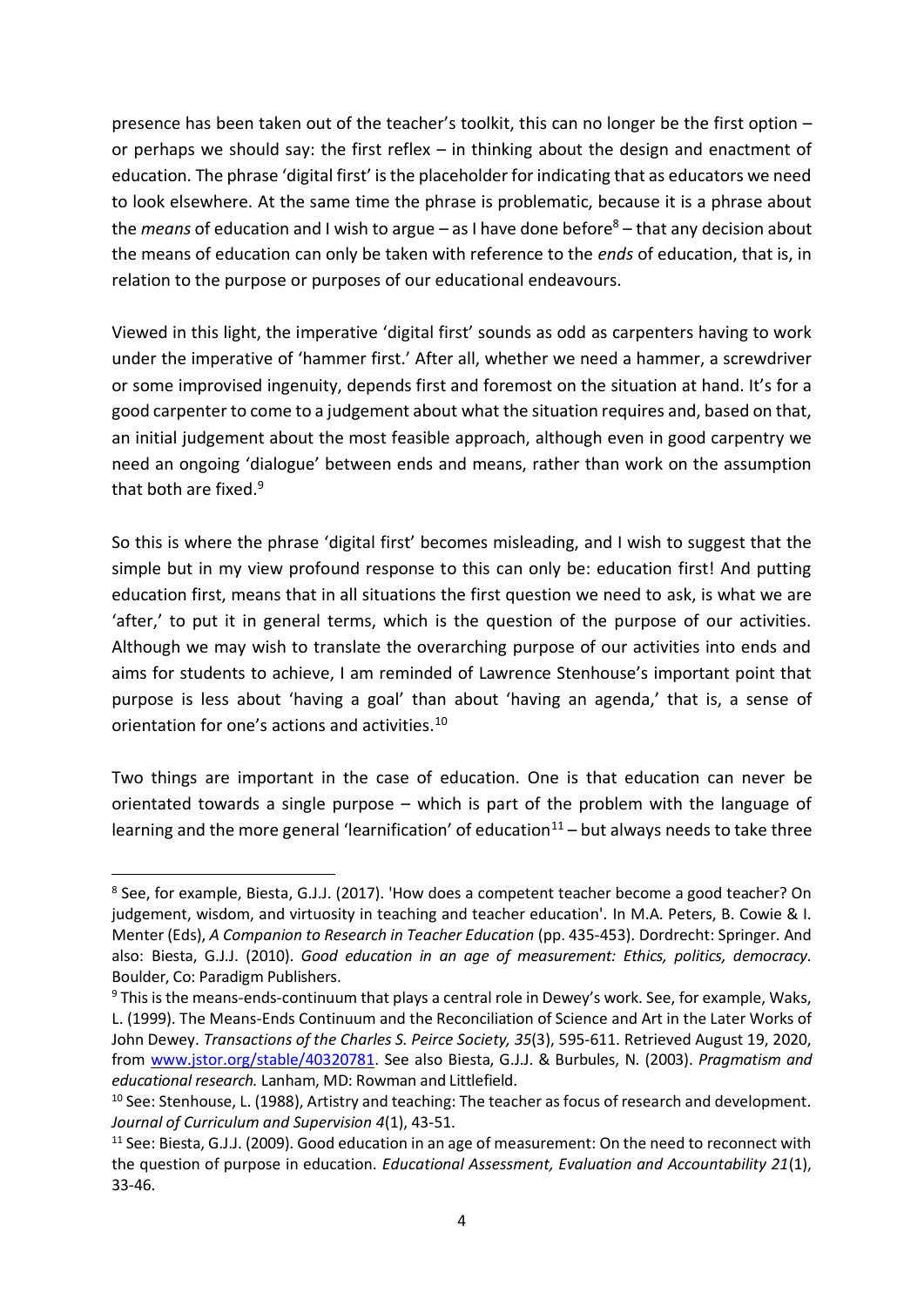presence has been taken out of the teacher's toolkit, this can no longer be the first option – or perhaps we should say: the first reflex – in thinking about the design and enactment of education. The phrase 'digital first' is the placeholder for indicating that as educators we need to look elsewhere. At the same time the phrase is problematic, because it is a phrase about the *means* of education and I wish to argue – as I have done before<sup>8</sup> – that any decision about the means of education can only be taken with reference to the *ends* of education, that is, in relation to the purpose or purposes of our educational endeavours.

Viewed in this light, the imperative 'digital first' sounds as odd as carpenters having to work under the imperative of 'hammer first.' After all, whether we need a hammer, a screwdriver or some improvised ingenuity, depends first and foremost on the situation at hand. It's for a good carpenter to come to a judgement about what the situation requires and, based on that, an initial judgement about the most feasible approach, although even in good carpentry we need an ongoing 'dialogue' between ends and means, rather than work on the assumption that both are fixed.<sup>9</sup>

So this is where the phrase 'digital first' becomes misleading, and I wish to suggest that the simple but in my view profound response to this can only be: education first! And putting education first, means that in all situations the first question we need to ask, is what we are 'after,' to put it in general terms, which is the question of the purpose of our activities. Although we may wish to translate the overarching purpose of our activities into ends and aims for students to achieve, I am reminded of Lawrence Stenhouse's important point that purpose is less about 'having a goal' than about 'having an agenda,' that is, a sense of orientation for one's actions and activities.<sup>10</sup>

Two things are important in the case of education. One is that education can never be orientated towards a single purpose – which is part of the problem with the language of learning and the more general 'learnification' of education<sup>11</sup> – but always needs to take three

<sup>8</sup> See, for example, Biesta, G.J.J. (2017). 'How does a competent teacher become a good teacher? On judgement, wisdom, and virtuosity in teaching and teacher education'. In M.A. Peters, B. Cowie & I. Menter (Eds), *A Companion to Research in Teacher Education* (pp. 435-453). Dordrecht: Springer. And also: Biesta, G.J.J. (2010). *Good education in an age of measurement: Ethics, politics, democracy.* Boulder, Co: Paradigm Publishers.

<sup>&</sup>lt;sup>9</sup> This is the means-ends-continuum that plays a central role in Dewey's work. See, for example, Waks, L. (1999). The Means-Ends Continuum and the Reconciliation of Science and Art in the Later Works of John Dewey. *Transactions of the Charles S. Peirce Society, 35*(3), 595-611. Retrieved August 19, 2020, from [www.jstor.org/stable/40320781.](http://www.jstor.org/stable/40320781) See also Biesta, G.J.J. & Burbules, N. (2003). *Pragmatism and educational research.* Lanham, MD: Rowman and Littlefield.

<sup>&</sup>lt;sup>10</sup> See: Stenhouse, L. (1988), Artistry and teaching: The teacher as focus of research and development. *Journal of Curriculum and Supervision 4*(1), 43-51.

<sup>11</sup> See: Biesta, G.J.J. (2009). Good education in an age of measurement: On the need to reconnect with the question of purpose in education. *Educational Assessment, Evaluation and Accountability 21*(1), 33-46.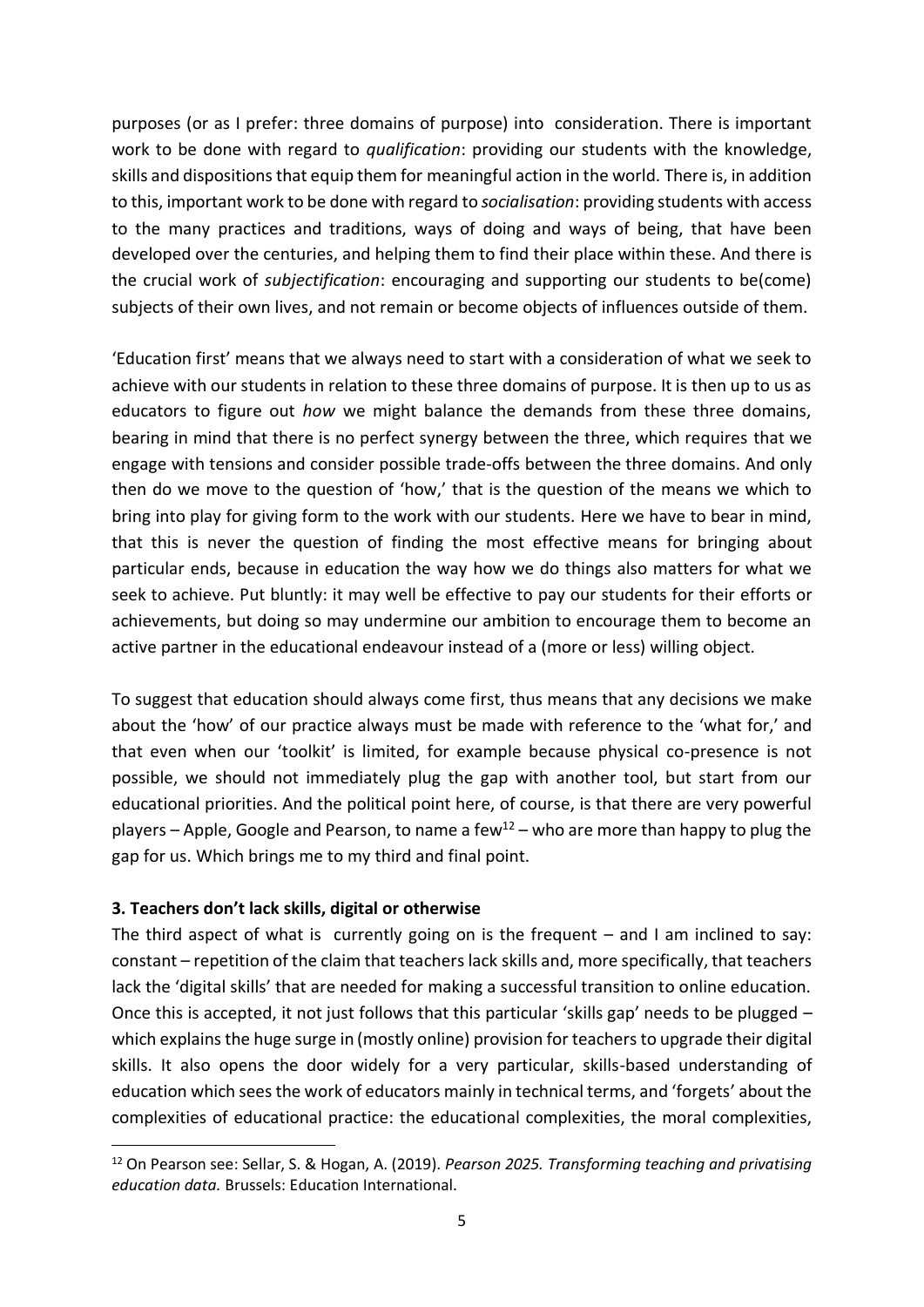purposes (or as I prefer: three domains of purpose) into consideration. There is important work to be done with regard to *qualification*: providing our students with the knowledge, skills and dispositions that equip them for meaningful action in the world. There is, in addition to this, important work to be done with regard to *socialisation*: providing students with access to the many practices and traditions, ways of doing and ways of being, that have been developed over the centuries, and helping them to find their place within these. And there is the crucial work of *subjectification*: encouraging and supporting our students to be(come) subjects of their own lives, and not remain or become objects of influences outside of them.

'Education first' means that we always need to start with a consideration of what we seek to achieve with our students in relation to these three domains of purpose. It is then up to us as educators to figure out *how* we might balance the demands from these three domains, bearing in mind that there is no perfect synergy between the three, which requires that we engage with tensions and consider possible trade-offs between the three domains. And only then do we move to the question of 'how,' that is the question of the means we which to bring into play for giving form to the work with our students. Here we have to bear in mind, that this is never the question of finding the most effective means for bringing about particular ends, because in education the way how we do things also matters for what we seek to achieve. Put bluntly: it may well be effective to pay our students for their efforts or achievements, but doing so may undermine our ambition to encourage them to become an active partner in the educational endeavour instead of a (more or less) willing object.

To suggest that education should always come first, thus means that any decisions we make about the 'how' of our practice always must be made with reference to the 'what for,' and that even when our 'toolkit' is limited, for example because physical co-presence is not possible, we should not immediately plug the gap with another tool, but start from our educational priorities. And the political point here, of course, is that there are very powerful players – Apple, Google and Pearson, to name a few<sup>12</sup> – who are more than happy to plug the gap for us. Which brings me to my third and final point.

### **3. Teachers don't lack skills, digital or otherwise**

The third aspect of what is currently going on is the frequent  $-$  and I am inclined to say: constant – repetition of the claim that teachers lack skills and, more specifically, that teachers lack the 'digital skills' that are needed for making a successful transition to online education. Once this is accepted, it not just follows that this particular 'skills gap' needs to be plugged  $$ which explains the huge surge in (mostly online) provision for teachers to upgrade their digital skills. It also opens the door widely for a very particular, skills-based understanding of education which sees the work of educators mainly in technical terms, and 'forgets' about the complexities of educational practice: the educational complexities, the moral complexities,

<sup>12</sup> On Pearson see: Sellar, S. & Hogan, A. (2019). *Pearson 2025. Transforming teaching and privatising education data.* Brussels: Education International.